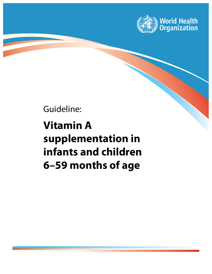

Guideline:

# **Vitamin A supplementation in infants and children 6–59 months of age**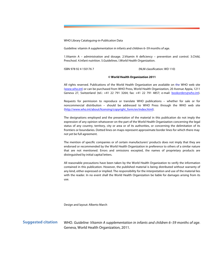WHO Library Cataloguing-in-Publication Data

Guideline: vitamin A supplementation in infants and children 6–59 months of age.

1.Vitamin A – administration and dosage. 2.Vitamin A deficiency – prevention and control. 3.Child, Preschool. 4.Infant nutrition. 5.Guidelines. I.World Health Organization.

ISBN 978 92 4 150176 7 (NLM classification: WD 110)

## **© World Health Organization 2011**

All rights reserved. Publications of the World Health Organization are available on the WHO web site (www.who.int) or can be purchased from WHO Press, World Health Organization, 20 Avenue Appia, 1211 Geneva 27, Switzerland (tel.: +41 22 791 3264; fax: +41 22 791 4857; e-mail: bookorders@who.int).

Requests for permission to reproduce or translate WHO publications – whether for sale or for noncommercial distribution – should be addressed to WHO Press through the WHO web site (http://www.who.int/about/licensing/copyright\_form/en/index.html).

The designations employed and the presentation of the material in this publication do not imply the expression of any opinion whatsoever on the part of the World Health Organization concerning the legal status of any country, territory, city or area or of its authorities, or concerning the delimitation of its frontiers or boundaries. Dotted lines on maps represent approximate border lines for which there may not yet be full agreement.

The mention of specific companies or of certain manufacturers' products does not imply that they are endorsed or recommended by the World Health Organization in preference to others of a similar nature that are not mentioned. Errors and omissions excepted, the names of proprietary products are distinguished by initial capital letters.

All reasonable precautions have been taken by the World Health Organization to verify the information contained in this publication. However, the published material is being distributed without warranty of any kind, either expressed or implied. The responsibility for the interpretation and use of the material lies with the reader. In no event shall the World Health Organization be liable for damages arising from its use.

Design and layout: Alberto March

**Suggested citation** 

WHO. *Guideline: Vitamin A supplementation in infants and children 6–59 months of age*. Geneva, World Health Organization, 2011.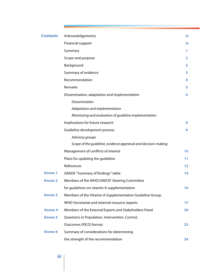| <b>Contents</b> | Acknowledgements                                               | iv             |
|-----------------|----------------------------------------------------------------|----------------|
|                 | <b>Financial support</b>                                       | iv             |
|                 | Summary                                                        | Ъ              |
|                 | Scope and purpose                                              | $\overline{2}$ |
|                 | Background                                                     | 2              |
|                 | Summary of evidence                                            | 3              |
|                 | Recommendation                                                 | 4              |
|                 | Remarks                                                        | 5              |
|                 | Dissemination, adaptation and implementation                   | 6              |
|                 | <b>Dissemination</b>                                           |                |
|                 | Adaptation and implementation                                  |                |
|                 | Monitoring and evaluation of guideline implementation          |                |
|                 | Implications for future research                               | 8              |
|                 | Guideline development process                                  | 8              |
|                 | Advisory groups                                                |                |
|                 | Scope of the guideline, evidence appraisal and decision-making |                |
|                 | Management of conflicts of interest                            | 10             |
|                 | Plans for updating the guideline                               | 11             |
|                 | References                                                     | 12             |
| <b>Annex 1</b>  | <b>GRADE "Summary of findings" table</b>                       | 14             |
| <b>Annex 2</b>  | Members of the WHO/UNICEF Steering Committee                   |                |
|                 | for guidelines on vitamin A supplementation                    | 16             |
| <b>Annex 3</b>  | Members of the Vitamin A Supplementation Guideline Group,      |                |
|                 | WHO Secretariat and external resource experts                  | 17             |
| <b>Annex 4</b>  | Members of the External Experts and Stakeholders Panel         | 20             |
| <b>Annex 5</b>  | Questions in Population, Intervention, Control,                |                |
|                 | Outcomes (PICO) format                                         | 23             |
| <b>Annex 6</b>  | Summary of considerations for determining                      |                |
|                 | the strength of the recommendation                             | 24             |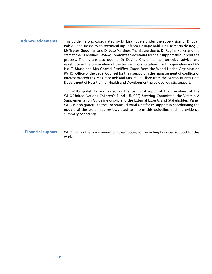## <span id="page-3-0"></span>**Acknowledgements**

This guideline was coordinated by Dr Lisa Rogers under the supervision of Dr Juan Pablo Peña-Rosas, with technical input from Dr Rajiv Bahl, Dr Luz Maria de Regil, Ms Tracey Goodman and Dr Jose Martines. Thanks are due to Dr Regina Kulier and the staff at the Guidelines Review Committee Secretariat for their support throughout the process. Thanks are also due to Dr Davina Ghersi for her technical advice and assistance in the preparation of the technical consultations for this guideline and Mr Issa T. Matta and Mrs Chantal Streijffert Garon from the World Health Organization (WHO) Office of the Legal Counsel for their support in the management of conflicts of interest procedures. Ms Grace Rob and Mrs Paule Pillard from the Micronutrients Unit, Department of Nutrition for Health and Development, provided logistic support.

WHO gratefully acknowledges the technical input of the members of the WHO/United Nations Children's Fund (UNICEF) Steering Committee, the Vitamin A Supplementation Guideline Group and the External Experts and Stakeholders Panel. WHO is also grateful to the Cochrane Editorial Unit for its support in coordinating the update of the systematic reviews used to inform this guideline and the evidence summary of findings.

#### WHO thanks the Government of Luxembourg for providing financial support for this work. **Financial support**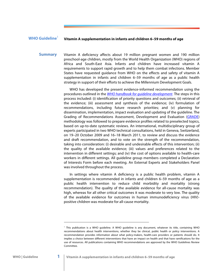## <span id="page-4-0"></span>**WHO Guideline**<sup>1</sup>

## **Vitamin A supplementation in infants and children 6–59 months of age**

Vitamin A deficiency affects about 19 million pregnant women and 190 million preschool-age children, mostly from the World Health Organization (WHO) regions of Africa and South-East Asia. Infants and children have increased vitamin A requirements to support rapid growth and to help them combat infections. Member States have requested guidance from WHO on the effects and safety of vitamin A supplementation in infants and children 6–59 months of age as a public health strategy in support of their efforts to achieve the Millennium Development Goals. **Summary** 

> WHO has developed the present evidence-informed recommendation using the procedures outlined in the *[WHO handbook for guideline development](http://www.who.int/hiv/topics/mtct/grc_handbook_mar2010_1.pdf)*. The steps in this process included: (i) identification of priority questions and outcomes; (ii) retrieval of the evidence; (iii) assessment and synthesis of the evidence; (iv) formulation of recommendations, including future research priorities; and (v) planning for dissemination, implementation, impact evaluation and updating of the guideline. The Grading of Recommendations Assessment, Development and Evaluation [\(GRADE\)](http://www.gradeworkinggroup.org/) methodology was followed to prepare evidence profiles related to preselected topics, based on up-to-date systematic reviews. An international, multidisciplinary group of experts participated in two WHO technical consultations, held in Geneva, Switzerland, on 19–20 October 2009 and 16*–*18 March 2011, to review and discuss the evidence and draft recommendation, and to vote on the strength of the recommendation, taking into consideration: (i) desirable and undesirable effects of this intervention; (ii) the quality of the available evidence; (iii) values and preferences related to the intervention in different settings; and (iv) the cost of options available to health-care workers in different settings. All guideline group members completed a Declaration of Interests Form before each meeting. An External Experts and Stakeholders Panel was involved throughout the process.

> In settings where vitamin A deficiency is a public health problem, vitamin A supplementation is recommended in infants and children 6–59 months of age as a public health intervention to reduce child morbidity and mortality (strong recommendation). The quality of the available evidence for all-cause mortality was high, whereas for all other critical outcomes it was moderate to very low. The quality of the available evidence for outcomes in human immunodeficiency virus (HIV) positive children was moderate for all-cause mortality.

<sup>1</sup> This publication is a WHO guideline. A WHO guideline is any document, whatever its title, containing WHO recommendations about health interventions, whether they be clinical, public health or policy interventions. A recommendation provides information about what policy-makers, health-care providers or patients should do. It implies a choice between different interventions that have an impact on health and that have ramifications for the use of resources. All publications containing WHO recommendations are approved by the WHO Guidelines Review Committee.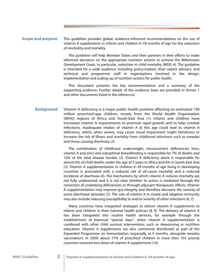#### <span id="page-5-0"></span>This guideline provides global, evidence-informed recommendations on the use of vitamin A supplements in infants and children 6–59 months of age for the reduction of morbidity and mortality. **Scope and purpose**

The guideline will help Member States and their partners in their efforts to make informed decisions on the appropriate nutrition actions to achieve the Millennium Development Goals, in particular, reduction in child mortality (MDG 4). The guideline is intended for a wide audience including policy-makers, their expert advisers, and technical and programme staff in organizations involved in the design, implementation and scaling-up of nutrition actions for public health.

This document presents the key recommendation and a summary of the supporting evidence. Further details of the evidence base are provided in Annex 1 and other documents listed in the references.

Vitamin A deficiency is a major public health problem affecting an estimated 190 million preschool-age children, mostly from the World Health Organization (WHO) regions of Africa and South-East Asia (*1*). Infants and children have increased vitamin A requirements to promote rapid growth and to help combat infections. Inadequate intakes of vitamin A at this age could lead to vitamin A deficiency, which, when severe, may cause visual impairment (night blindness) or increase the risk of illness and mortality from childhood infections such as measles and those causing diarrhoea (*2*). **Background** 

> The combination of childhood underweight, micronutrient deficiencies (iron, vitamin A and zinc) and suboptimal breastfeeding is responsible for 7% of deaths and 10% of the total disease burden (*3*). Vitamin A deficiency alone is responsible for almost 6% of child deaths under the age of 5 years in Africa and 8% in South-East Asia (*3*). Vitamin A supplementation in children 6–59 months of age living in developing countries is associated with a reduced risk of all-cause mortality and a reduced incidence of diarrhoea (*4*). The mechanisms by which vitamin A reduces mortality are not fully understood, and it is not clear whether its action is mediated through the correction of underlying deficiencies or through adjuvant therapeutic effects. Vitamin A supplementation may improve gut integrity and therefore decrease the severity of some diarrhoeal episodes (*5*). The role of vitamin A in innate and adaptive immunity may also include reducing susceptibility to and/or severity of other infections (*6, 7*).

> Many countries have integrated strategies to deliver vitamin A supplements to infants and children in their national health policies (*8, 9*). The delivery of vitamin A has been integrated into routine health services, for example through the establishment of biannual "special days", when vitamin A supplementation is combined with other child survival interventions such as deworming or nutrition education. Vitamin A supplements are also commonly distributed as part of the Expanded Programme on Immunization (especially at 9 months, alongside measles vaccination). In 2009, about 77% of preschool children in more than 103 priority countries received two doses of vitamin A supplements (*10*).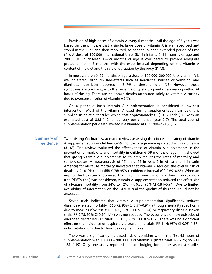<span id="page-6-0"></span>Provision of high doses of vitamin A every 6 months until the age of 5 years was based on the principle that a single, large dose of vitamin A is well absorbed and stored in the liver, and then mobilized, as needed, over an extended period of time (*11*). A dose of 100 000 International Units (IU) in infants 6–11 months of age and 200 000 IU in children 12–59 months of age is considered to provide adequate protection for 4–6 months, with the exact interval depending on the vitamin A content of the diet and the rate of utilization by the body (*8, 12*).

In most children 6–59 months of age, a dose of 100 000–200 000 IU of vitamin A is well tolerated, although side-effects such as headache, nausea or vomiting, and diarrhoea have been reported in 3–7% of these children (*13*). However, these symptoms are transient, with the large majority starting and disappearing within 24 hours of dosing. There are no known deaths attributed solely to vitamin A toxicity due to overconsumption of vitamin A (*13*).

On a per-child basis, vitamin A supplementation is considered a low-cost intervention. Most of the vitamin A used during supplementation campaigns is supplied in gelatin capsules which cost approximately US\$ 0.02 each (*14*), with an estimated cost of US\$ 1–2 for delivery per child per year (*15*). The total cost of supplementation per death averted is estimated at US\$ 200–250 (*16, 17*).

Two existing Cochrane systematic reviews assessing the effects and safety of vitamin A supplementation in children 6–59 months of age were updated for this guideline (*4, 18*). One review evaluated the effectiveness of vitamin A supplements in the prevention of morbidity and mortality in children 6–59 months of age (*4*). It showed that giving vitamin A supplements to children reduces the rates of mortality and some diseases. A meta-analysis of 17 trials (11 in Asia, 5 in Africa and 1 in Latin America) for all-cause mortality indicated that vitamin A reduces the overall risk of death by 24% (risk ratio (RR) 0.76; 95% confidence interval (CI) 0.69–0.83). When an unpublished cluster-randomized trial involving one million children in north India (the DEVTA trial) was considered, vitamin A supplementation reduced the effect size of all-cause mortality from 24% to 12% (RR 0.88; 95% CI 0.84–0.94). Due to limited availability of information on the DEVTA trial the quality of this trial could not be assessed. **Summary of evidence** 

> Seven trials indicated that vitamin A supplementation significantly reduces diarrhoea-related mortality (RR 0.72; 95% CI 0.57–0.91), although mortality specifically due to measles (five trials: RR 0.80; 95% CI 0.51–1.24) or respiratory disease (seven trials: RR 0.78; 95% CI 0.54–1.14) was not reduced. The occurrence of new episodes of diarrhoea decreased (13 trials: RR 0.85; 95% CI 0.82–0.87). There was no significant effect on the incidence of respiratory disease (nine trials: RR 1.14; 95% CI 0.95–1.37), or hospitalizations due to diarrhoea or pneumonia.

> There was a significantly increased risk of vomiting within the first 48 hours of supplementation with 100 000–200 000 IU of vitamin A (three trials: RR 2.75; 95% CI 1.81–4.19). Only one study reported data on bulging fontanelles as most studies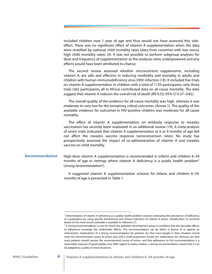<span id="page-7-0"></span>included children over 1 year of age and thus would not have assessed this sideeffect. There was no significant effect of vitamin A supplementation when the data were stratified by national child mortality rates (data from countries with low versus high child mortality rates) (*4*). It was not possible to perform subgroup analyses for dose and frequency of supplementation as the analyses were underpowered and any effects would have been attributed to chance.

The second review assessed whether micronutrient supplements, including vitamin A, are safe and effective in reducing morbidity and mortality in adults and children with human immunodeficiency virus (HIV) infection (*18*). It included five trials on vitamin A supplementation in children with a total of 1120 participants; only three trials (262 participants, all in Africa) contributed data on all-cause mortality. The data suggest that vitamin A reduces the overall risk of death (RR 0.55; 95% CI 0.37–0.82).

The overall quality of the evidence for all-cause mortality was high, whereas it was moderate to very low for the remaining critical outcomes (Annex 1). The quality of the available evidence for outcomes in HIV-positive children was moderate for all-cause mortality.

The effect of vitamin A supplementation on antibody response to measles vaccination has recently been evaluated in an additional review (*19*). A meta-analysis of seven trials indicated that vitamin A supplementation at 6 or 9 months of age did not affect the measles vaccine response (seroconversion rates). No study has prospectively assessed the impact of co-administration of vitamin A and measles vaccine on child mortality.

#### High-dose vitamin A supplementation is recommended in infants and children 6–59 months of age in settings where vitamin A deficiency is a public health problem<sup>1</sup> (strong recommendation<sup>2</sup>). **Recommendation**

 A suggested vitamin A supplementation scheme for infants and children 6–59 months of age is presented in Table 1.

<sup>1</sup> Determination of vitamin A deficiency as a public health problem involves estimating the prevalence of deficiency in a population by using specific biochemical and clinical indicators of vitamin A status. Classification of countries based on the most recent estimates is available in reference (*1*).

 $2A$  strong recommendation is one for which the guideline development group is confident that the desirable effects of adherence outweigh the undesirable effects. The recommendation can be either in favour of or against an intervention. Implications of a strong recommendation for patients are that most people in their situation would want the recommended course of action and only a small proportion would not. Implications for clinicians are that most patients should receive the recommended course of action, and that adherence to this recommendation is a reasonable measure of good-quality care. With regard to policy-makers, a strong recommendation means that it can be adapted as a policy in most situations.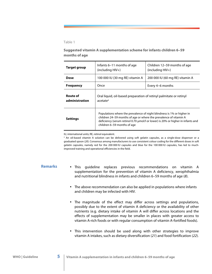### <span id="page-8-0"></span>Table 1

# **Suggested vitamin A supplementation scheme for infants children 6–59 months of age**

| <b>Target group</b>               | Infants 6–11 months of age<br>(including HIV+)                                                                                                                                                                                                                | Children 12–59 months of age<br>$(including HIV+)$ |
|-----------------------------------|---------------------------------------------------------------------------------------------------------------------------------------------------------------------------------------------------------------------------------------------------------------|----------------------------------------------------|
| Dose                              | 100 000 IU (30 mg RE) vitamin A                                                                                                                                                                                                                               | 200 000 IU (60 mg RE) vitamin A                    |
| <b>Frequency</b>                  | Once                                                                                                                                                                                                                                                          | Every 4–6 months                                   |
| <b>Route of</b><br>administration | Oral liquid, oil-based preparation of retinyl palmitate or retinyl<br>acetate <sup>a</sup>                                                                                                                                                                    |                                                    |
| <b>Settings</b>                   | Populations where the prevalence of night blindness is 1% or higher in<br>children 24–59 months of age or where the prevalence of vitamin A<br>deficiency (serum retinol 0.70 μmol/l or lower) is 20% or higher in infants and<br>children 6-59 months of age |                                                    |

IU, international units; RE, retinol equivalent.

<sup>a</sup> An oil-based vitamin A solution can be delivered using soft gelatin capsules, as a single-dose dispenser or a graduated spoon (*20*). Consensus among manufacturers to use consistent colour coding for the different doses in soft gelatin capsules, namely red for the 200 000 IU capsules and blue for the 100 000 IU capsules, has led to muchimproved training and operational efficiencies in the field.

# **Remarks**

- This guideline replaces previous recommendations on vitamin A supplementation for the prevention of vitamin A deficiency, xerophthalmia and nutritional blindness in infants and children 6–59 months of age (*8*).
- The above recommendation can also be applied in populations where infants and children may be infected with HIV.
- The magnitude of the effect may differ across settings and populations, possibly due to the extent of vitamin A deficiency or the availability of other nutrients (e.g. dietary intake of vitamin A will differ across locations and the effects of supplementation may be smaller in places with greater access to vitamin A-rich foods or with regular consumption of vitamin A-fortified foods).
- This intervention should be used along with other strategies to improve vitamin A intakes, such as dietary diversification (*21*) and food fortification (*22*).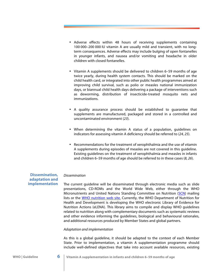- <span id="page-9-0"></span>• Adverse effects within 48 hours of receiving supplements containing 100 000–200 000 IU vitamin A are usually mild and transient, with no longterm consequences. Adverse effects may include bulging of open fontanelles in younger infants, and nausea and/or vomiting and headache in older children with closed fontanelles.
- Vitamin A supplements should be delivered to children 6–59 months of age twice yearly, during health system contacts. This should be marked on the child health card, or integrated into other public health programmes aimed at improving child survival, such as polio or measles national immunization days, or biannual child health days delivering a package of interventions such as deworming, distribution of insecticide-treated mosquito nets and immunizations.
- A quality assurance process should be established to guarantee that supplements are manufactured, packaged and stored in a controlled and uncontaminated environment (*23*).
- When determining the vitamin A status of a population, guidelines on indicators for assessing vitamin A deficiency should be referred to (*24, 25*).
- Recommendations for the treatment of xerophthalmia and the use of vitamin A supplements during episodes of measles are not covered in this guideline. Existing guidelines on the treatment of xerophthalmia and measles in infants and children 6–59 months of age should be referred to in these cases (*8, 26*).

# **Dissemination, adaptation and implementation**

## *Dissemination*

The current guideline will be disseminated through electronic media such as slide presentations, CD-ROMs and the World Wide Web, either through the WHO Micronutrients and United Nations Standing Committee on Nutrition [\(SCN\)](http://www.unscn.org/) mailing lists or the [WHO nutrition web site.](http://www.unscn.org/) Currently, the WHO Department of Nutrition for Health and Development is developing the WHO electronic Library of Evidence for Nutrition Actions (eLENA). This library aims to compile and display WHO guidelines related to nutrition along with complementary documents such as systematic reviews and other evidence informing the guidelines, biological and behavioural rationales, and additional resources produced by Member States and global partners.

### *Adaptation and implementation*

As this is a global guideline, it should be adapted to the context of each Member State. Prior to implementation, a vitamin A supplementation programme should include well-defined objectives that take into account available resources, existing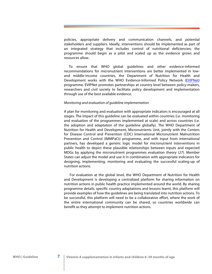policies, appropriate delivery and communication channels, and potential stakeholders and suppliers. Ideally, interventions should be implemented as part of an integrated strategy that includes control of nutritional deficiencies; the programme should begin as a pilot and scaled up as the evidence grows and resources allow.

 To ensure that WHO global guidelines and other evidence-informed recommendations for micronutrient interventions are better implemented in lowand middle-income countries, the Department of Nutrition for Health and Development works with the WHO Evidence-Informed Policy Network [\(EVIPNet\)](http://www.evipnet.org/) programme. EVIPNet promotes partnerships at country level between policy-makers, researchers and civil society to facilitate policy development and implementation through use of the best available evidence.

## *Monitoring and evaluation of guideline implementation*

A plan for monitoring and evaluation with appropriate indicators is encouraged at all stages. The impact of this guideline can be evaluated within countries (i.e. monitoring and evaluation of the programmes implemented at scale) and across countries (i.e. the adoption and adaptation of the guideline globally). The WHO Department of Nutrition for Health and Development, Micronutrients Unit, jointly with the Centers for Disease Control and Prevention (CDC) International Micronutrient Malnutrition Prevention and Control (IMMPaCt) programme, and with input from international partners, has developed a generic logic model for micronutrient interventions in public health to depict these plausible relationships between inputs and expected MDGs by applying the micronutrient programmes evaluation theory (*27*). Member States can adjust the model and use it in combination with appropriate indicators for designing, implementing, monitoring and evaluating the successful scaling-up of nutrition actions.

 For evaluation at the global level, the WHO Department of Nutrition for Health and Development is developing a centralized platform for sharing information on nutrition actions in public health practice implemented around the world. By sharing programme details, specific country adaptations and lessons learnt, this platform will provide examples of how the guidelines are being translated into nutrition actions. To be successful, this platform will need to be a collaborative effort, where the work of the entire international community can be shared, so countries worldwide can benefit as they attempt to implement nutrition actions.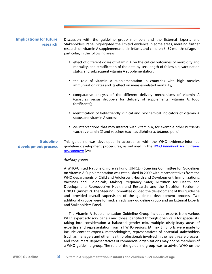# <span id="page-11-0"></span>**Implications for future research**

Discussion with the guideline group members and the External Experts and Stakeholders Panel highlighted the limited evidence in some areas, meriting further research on vitamin A supplementation in infants and children 6–59 months of age, in particular, in the following areas:

- effect of different doses of vitamin A on the critical outcomes of morbidity and mortality, and stratification of the data by sex, length of follow-up, vaccination status and subsequent vitamin A supplementation;
- the role of vitamin A supplementation in countries with high measles immunization rates and its effect on measles-related mortality;
- comparative analysis of the different delivery mechanisms of vitamin A (capsules versus droppers for delivery of supplemental vitamin A, food fortificants);
- identification of field-friendly clinical and biochemical indicators of vitamin A status and vitamin A stores;
- co-interventions that may interact with vitamin A, for example other nutrients (such as vitamin D) and vaccines (such as diphtheria, tetanus, polio).

# **Guideline development process**

This guideline was developed in accordance with the WHO evidence-informed guideline development procedures, as outlined in the *[WHO handbook for guideline](http://www.who.int/hiv/topics/mtct/grc_handbook_mar2010_1.pdf)  [development](http://www.who.int/hiv/topics/mtct/grc_handbook_mar2010_1.pdf)* (*28*).

## *Advisory groups*

A WHO/United Nations Children's Fund (UNICEF) Steering Committee for Guidelines on Vitamin A Supplementation was established in 2009 with representatives from the WHO departments of Child and Adolescent Health and Development; Immunizations, Vaccines and Biologicals; Making Pregnancy Safer; Nutrition for Health and Development; Reproductive Health and Research; and the Nutrition Section of UNICEF (Annex 2). The Steering Committee guided the development of this guideline and provided overall supervision of the guideline development process. Two additional groups were formed: an advisory guideline group and an External Experts and Stakeholders Panel.

 The Vitamin A Supplementation Guideline Group included experts from various WHO expert advisory panels and those identified through open calls for specialists, taking into consideration a balanced gender mix, multiple disciplinary areas of expertise and representation from all WHO regions (Annex 3). Efforts were made to include content experts, methodologists, representatives of potential stakeholders (such as managers and other health professionals involved in the health-care process) and consumers. Representatives of commercial organizations may not be members of a WHO guideline group. The role of the guideline group was to advise WHO on the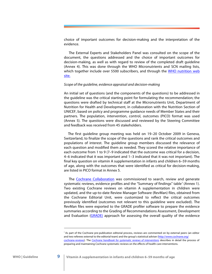choice of important outcomes for decision-making and the interpretation of the evidence.

 The External Experts and Stakeholders Panel was consulted on the scope of the document, the questions addressed and the choice of important outcomes for decision-making, as well as with regard to review of the completed draft guideline (Annex 4). This was done through the WHO Micronutrients and SCN mailing lists, which together include over 5500 subscribers, and through the [WHO nutrition web](http://www.who.int/nutrition) [site.](http://www.who.int/nutrition)

#### *Scope of the guideline, evidence appraisal and decision-making*

An initial set of questions (and the components of the questions) to be addressed in the guideline was the critical starting point for formulating the recommendation; the questions were drafted by technical staff at the Micronutrients Unit, Department of Nutrition for Health and Development, in collaboration with the Nutrition Section of UNICEF, based on policy and programme guidance needs of Member States and their partners. The population, intervention, control, outcomes (PICO) format was used (Annex 5). The questions were discussed and reviewed by the Steering Committee and feedback was received from 45 stakeholders.

 The first guideline group meeting was held on 19–20 October 2009 in Geneva, Switzerland, to finalize the scope of the questions and rank the critical outcomes and populations of interest. The guideline group members discussed the relevance of each question and modified them as needed. They scored the relative importance of each outcome from 1 to 9 (7–9 indicated that the outcome was critical for a decision, 4–6 indicated that it was important and 1–3 indicated that it was not important). The final key question on vitamin A supplementation in infants and children 6–59 months of age, along with the outcomes that were identified as critical for decision-making, are listed in PICO format in Annex 5.

 The [Cochrane Collaboration](http://www.cochrane.org/) was commissioned to search, review and generate systematic reviews, evidence profiles and the "Summary of findings" table<sup>1</sup> (Annex 1). Two existing Cochrane reviews on vitamin A supplementation in children were updated, and the up-to-date Review Manager Software (RevMan) files, obtained from the Cochrane Editorial Unit, were customized to reflect the critical outcomes previously identified (outcomes not relevant to this guideline were excluded). The RevMan files were exported to the GRADE profiler software to prepare the evidence summaries according to the Grading of Recommendations Assessment, Development and Evaluation ([GRADE\)](http://www.gradeworkinggroup.org/) approach for assessing the overall quality of the evidence

<sup>1</sup> As part of the Cochrane pre-publication editorial process, reviews are commented on by external peers (an editor and two referees external to the editorial team) and the group's statistical adviser (http://www.cochrane.org/ cochrane-reviews). The *[Cochrane handbook for systematic reviews](http://www.cochrane.org/training/cochrane-handbook) of interventions* describes in detail the process of preparing and maintaining Cochrane systematic reviews on the effects of health-care interventions.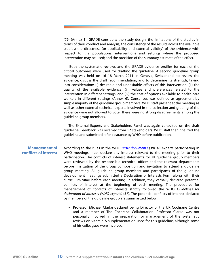<span id="page-13-0"></span>(*29*) (Annex 1). GRADE considers: the study design; the limitations of the studies in terms of their conduct and analysis; the consistency of the results across the available studies; the directness (or applicability and external validity) of the evidence with respect to the populations, interventions and settings where the proposed intervention may be used; and the precision of the summary estimate of the effect.

 Both the systematic reviews and the GRADE evidence profiles for each of the critical outcomes were used for drafting the guideline. A second guideline group meeting was held on 16–18 March 2011 in Geneva, Switzerland, to review the evidence, discuss the draft recommendation, and to determine its strength, taking into consideration: (i) desirable and undesirable effects of this intervention; (ii) the quality of the available evidence; (iii) values and preferences related to the intervention in different settings; and (iv) the cost of options available to health-care workers in different settings (Annex 6). Consensus was defined as agreement by simple majority of the guideline group members. WHO staff present at the meeting as well as other external technical experts involved in the collection and grading of the evidence were not allowed to vote. There were no strong disagreements among the guideline group members.

 The External Experts and Stakeholders Panel was again consulted on the draft guideline. Feedback was received from 12 stakeholders. WHO staff then finalized the guideline and submitted it for clearance by WHO before publication.

## **Management of conflicts of interest**

According to the rules in the WHO *[Basic documents](http://apps.who.int/gb/bd/)* (*30*), all experts participating in WHO meetings must declare any interest relevant to the meeting prior to their participation. The conflicts of interest statements for all guideline group members were reviewed by the responsible technical officer and the relevant departments before finalization of the group composition and invitation to attend a guideline group meeting. All guideline group members and participants of the guideline development meetings submitted a Declaration of Interests Form along with their curriculum vitae before each meeting. In addition, they verbally declared potential conflicts of interest at the beginning of each meeting. The procedures for management of conflicts of interests strictly followed the WHO *Guidelines for declaration of interests (WHO experts)* (*31*). The potential conflicts of interest declared by members of the guideline group are summarized below.

• Professor Michael Clarke declared being Director of the UK Cochrane Centre and a member of The Cochrane Collaboration. Professor Clarke was not personally involved in the preparation or management of the systematic reviews on vitamin A supplementation used for this guideline, although some of his colleagues were involved.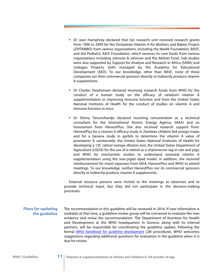- <span id="page-14-0"></span>• Dr Jean Humphrey declared that her research unit received research grants from 1996 to 2009 for the Zimbabwe Vitamin A for Mothers and Babies Project (ZVITAMBO) from various organizations, including the Nestlé Foundation, BASF, and the Pediatric AIDS Foundation, which receives its core funds from various organizations including Johnson & Johnson and the Abbott Fund. Sub-studies were also supported by Support for Analysis and Research in Africa (SARA) and Linkages Projects, both managed by the Academy for Educational Development (AED). To our knowledge, other than BASF, none of these companies nor their commercial sponsors directly or indirectly produce vitamin A supplements.
- Dr Charles Stephensen declared receiving research funds from WHO for the conduct of a human study on the efficacy of newborn vitamin A supplementation in improving immune function and from the United States National Institutes of Health for the conduct of studies on vitamin A and immune function in mice.
- Dr Sherry Tanumihardjo declared receiving remuneration as a technical consultant for the International Atomic Energy Agency (IAEA) and an honorarium from HarvestPlus. She also received research support from: HarvestPlus for a vitamin A efficacy study in Zambian children fed orange maize and for a banana study in gerbils to determine the vitamin A value of provitamin A carotenoids; the United States National Institutes of Health for developing a 13C retinol isotope dilution test; the United States Department of Agriculture (USDA) for the use of  $\alpha$ -retinol as a chylomicron tag in rats and pigs; and WHO for mechanistic studies to understand neonatal vitamin A supplementation using the sow-piglet dyad model. In addition, she received reimbursement for travel expenses from IAEA, HarvestPlus and WHO to attend meetings. To our knowledge, neither HarvestPlus nor its commercial sponsors directly or indirectly produce vitamin A supplements.

External resource persons were invited to the meetings as observers and to provide technical input, but they did not participate in the decision-making processes.

**Plans for updating the guideline**  The recommendation in this guideline will be reviewed in 2016. If new information is available at that time, a guideline review group will be convened to evaluate the new evidence and revise the recommendation. The Department of Nutrition for Health and Development at the WHO headquarters in Geneva, along with its internal partners, will be responsible for coordinating the guideline update, following the formal *[WHO handbook for guideline development](http://www.who.int/hiv/topics/mtct/grc_handbook_mar2010_1.pdf)* (*28*) procedures. WHO welcomes suggestions regarding additional questions for evaluation in the guideline when it is due for review.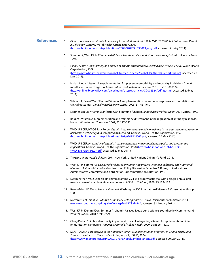## <span id="page-15-0"></span>**References**

- 1. *Global prevalence of vitamin A deficiency in populations at risk 1995–2005. WHO Global Database on Vitamin A Deficiency*. Geneva, World Health Organization, 2009 (http://whqlibdoc.who.int/publications/2009/9789241598019\_eng.pdf, accessed 21 May 2011).
- 2. Sommer A, West KP Jr. *Vitamin A deficiency: health, survival, and vision*. New York, Oxford University Press, 1996.
- 3. *Global health risks: mortality and burden of disease attributable to selected major risks*. Geneva, World Health Organization, 2009 (http://www.who.int/healthinfo/global\_burden\_disease/GlobalHealthRisks\_report\_full.pdf, accessed 20 May 2011).
- 4. Imdad A et al. Vitamin A supplementation for preventing morbidity and mortality in children from 6 months to 5 years of age. *Cochrane Database of Systematic Reviews,* 2010, (12):CD008524 (http://onlinelibrary.wiley.com/o/cochrane/clsysrev/articles/CD008524/pdf\_fs.html, accessed 20 May 2011).
- 5. Villamor E, Fawzi WW. Effects of Vitamin A supplementation on immune responses and correlation with clinical outcomes. *Clinical Microbiology Reviews*, 2005, 3: 446–464.
- 6. Stephensen CB. Vitamin A, infection, and immune function. *Annual Review of Nutrition*, 2001, 21:167–192.
- 7. Ross AC. Vitamin A supplementation and retinoic acid treatment in the regulation of antibody responses in vivo. *Vitamins and Hormones*, 2007, 75:197–222.
- 8. WHO, UNICEF, IVACG Task Force. *Vitamin A supplements: a guide to their use in the treatment and prevention of vitamin A deficiency and xerophthalmia*, 2nd ed. Geneva, World Health Organization, 1997 (http://whqlibdoc.who.int/publications/1997/9241545062.pdf, accessed 20 May 2011).
- 9. WHO, UNICEF. *Integration of vitamin A supplementation with immunization: policy and programme implications*. Geneva, World Health Organization, 1998 ([http://whqlibdoc.who.int/hq/1998/](http://whqlibdoc.who.int/hq/1998/WHO_EPI_GEN_98.07.pdf) [WHO\\_EPI\\_GEN\\_98.07.pdf](http://whqlibdoc.who.int/hq/1998/WHO_EPI_GEN_98.07.pdf), accessed 20 May 2011).
- 10. *The state of the world's children 2011*. New York, United Nations Children's Fund, 2011.
- 11. West KP Jr, Sommer A. *Delivery of oral doses of vitamin A to prevent vitamin A deficiency and nutritional blindness. A state-of-the-art review*. Nutrition Policy Discussion Paper No 2. Rome, United Nations Administrative Committee on Coordination, Subcommittee on Nutrition, 1987.
- 12. Swaminathan MC, Susheela TP, Thimmayamma VS. Field prophylactic trial with a single annual oral massive dose of vitamin A. *American Journal of Clinical Nutrition*, 1970, 23:119–122.
- 13. Bauernfeind JC. *The safe use of vitamin A*. Washington, DC, International Vitamin A Consultative Group, 1980.
- 14. Micronutrient Initiative. *Vitamin A: the scope of the problem*. Ottawa, Micronutrient Initiative, 2011 (www.micronutrient.org/English/View.asp?x=577&id=440, accessed 31 January 2011).
- 15. West KP Jr, Klemm RDW, Sommer A. Vitamin A saves lives. Sound science, sound policy [commentary]. *World Nutrition*, 2010, 1:211–229.
- 16. Ching P et al. Childhood mortality impact and costs of integrating vitamin A supplementation into immunization campaigns. *American Journal of Public Health*, 2000, 90:1526–1529.
- 17. MOST, USAID. *Cost analysis of the national vitamin A supplementation programs in Ghana, Nepal, and Zambia: a synthesis of three studies*. Arlington, VA, USAID, 2004 (http://www.mostproject.org/IVACG/GhanaNepalZambiaSythesis.pdf, accessed 20 May 2011).

**WHO | Guideline 12 Vitamin A supplementation in infants and children 6–59 months of age**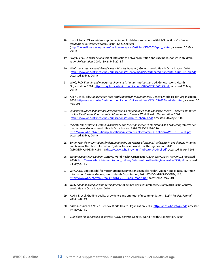- 18. Irlam JH et al. Micronutrient supplementation in children and adults with HIV infection. *Cochrane Database of Systematic Reviews,* 2010, (12):CD003650 (http://onlinelibrary.wiley.com/o/cochrane/clsysrev/articles/CD003650/pdf\_fs.html, accessed 20 May 2011).
- 19. Savy M et al. Landscape analysis of interactions between nutrition and vaccine responses in children. *Journal of Nutrition*, 2009, 139:2154S–2218S.
- 20. *WHO model list of essential medicines 16th list (updated).* Geneva, World Health Organization, 2010 (http://www.who.int/medicines/publications/essentialmedicines/Updated\_sixteenth\_adult\_list\_en.pdf, accessed 20 May 2011).
- 21. WHO, FAO. *Vitamin and mineral requirements in human nutrition,* 2nd ed. Geneva, World Health Organization, 2004 (http://whqlibdoc.who.int/publications/2004/9241546123.pdf, accessed 20 May 2011).
- 22. Allen L et al., eds. *Guidelines on food fortification with micronutrients.* Geneva, World Health Organization, 2006 (http://www.who.int/nutrition/publications/micronutrients/9241594012/en/index.html, accessed 20 May 2011).
- 23. *Quality assurance of pharmaceuticals: meeting a major public health challenge*. *the WHO Expert Committee on Specifications for Pharmaceutical Preparations.* Geneva, World Health Organization, 2007 (http://www.who.int/medicines/publications/brochure\_pharma.pdf, accessed 20 May 2011).
- 24. *Indicators for assessing vitamin A deficiency and their application in monitoring and evaluating intervention programmes*. Geneva, World Health Organization, 1996 (WHO/NUT/96.10; http://www.who.int/nutrition/publications/micronutrients/vitamin\_a\_deficieny/WHONUT96.10.pdf, accessed 20 May 2011).
- *25. Serum retinol concentrations for determining the prevalence of vitamin A deficiency in populations.* Vitamin and Mineral Nutrition Information System. Geneva, World Health Organization, 2011 (WHO/NMH/NHD/MNM/11.3; (http://www.who.int/vmnis/indicators/retinol.pdf, accessed 18 April 2011).
- 26. *Treating measles in children*. Geneva, World Health Organization, 2004 (WHO/EPI/TRAM/97.02 (updated 2004); http://www.who.int/immunization\_delivery/interventions/TreatingMeaslesENG300.pdf, accessed 04 May 2011).
- 27. WHO/CDC. Logic model for micronutrient interventions in public health. Vitamin and Mineral Nutrition Information System. Geneva, World Health Organization, 2011 (WHO/NMH/NHD/MNM/11.5; http://www.who.int/vmnis/toolkit/WHO-CDC\_Logic\_Model.pdf, accessed 20 May 2011).
- 28. *WHO handbook for guideline development*. Guidelines Review Committee. Draft March 2010. Geneva, World Health Organization, 2010.
- 29. Atkins D et al. Grading quality of evidence and strength of recommendations. *British Medical Journal*, 2004, 328:1490.
- 30. *Basic documents*, 47th ed. Geneva, World Health Organization, 2009 (http://apps.who.int/gb/bd/, accessed 19 May 2011).
- 31. *Guidelines for declaration of interests (WHO experts)*. Geneva, World Health Organization, 2010.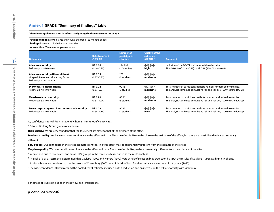# <span id="page-17-0"></span>**Annex 1 GRADE "Summary of findings" table**

#### **Vitamin A supplementation in infants and young children 6–59 months of age**

**Patient or population:** Infants and young children 6–59 months of age

**Settings:** Low- and middle-income countries

**Intervention:** Vitamin A supplementation

| <b>Outcomes</b>                                                                                         | <b>Relative effect</b><br>(95% CI) | <b>Number of</b><br><b>participants</b><br>(studies) | <b>Quality of the</b><br>evidence<br>$(GRADE)*$ | <b>Comments</b>                                                         |
|---------------------------------------------------------------------------------------------------------|------------------------------------|------------------------------------------------------|-------------------------------------------------|-------------------------------------------------------------------------|
| <b>All-cause mortality</b>                                                                              | <b>RR 0.76</b>                     | 194798                                               | ⊕⊕⊕⊕                                            | Inclusion of the DEVTA trial reduced the effect size.                   |
| Follow-up: 12-96 weeks                                                                                  | $(0.69 - 0.83)$                    | (17 studies)                                         | high                                            | RR 0.76 (95% CI 0.69-0.83) to RR 0.88 (95% CI 0.84-0.94)                |
| All-cause mortality (HIV+ children)<br>Hospital files or verbal autopsy forms<br>Follow-up: 6-24 months | <b>RR 0.55</b><br>$(0.37 - 0.82)$  | 262<br>(3 studies)                                   | ⊕⊕⊕⊕<br>moderate <sup>1</sup>                   |                                                                         |
| Diarrhoea-related mortality                                                                             | <b>RR 0.72</b>                     | 90 951                                               | ⊕⊕⊕⊕                                            | Total number of participants reflects number randomized to studies.     |
| Follow-up: 48-104 weeks                                                                                 | $(0.57 - 0.91)$                    | (7 studies)                                          | moderate <sup>2</sup>                           | The analysis combined cumulative risk and risk per/1000 years follow-up |
| <b>Measles-related mortality</b>                                                                        | <b>RR 0.80</b>                     | 88 261                                               | ⊕⊕⊕⊕                                            | Total number of participants reflects number randomized to studies.     |
| Follow-up: 52-104 weeks                                                                                 | $(0.51 - 1.24)$                    | (5 studies)                                          | moderate <sup>3</sup>                           | The analysis combined cumulative risk and risk per/1000 years follow-up |
| Lower respiratory tract infection-related mortality                                                     | <b>RR 0.78</b>                     | 90 951                                               | ⊕⊕⊕⊝                                            | Total number of participants reflects number randomized to studies.     |
| Follow-up: 48-104 weeks                                                                                 | $(0.54 - 1.14)$                    | (7 studies)                                          | low <sup>2,3</sup>                              | The analysis combined cumulative risk and risk per/1000 years follow-up |

CI, confidence interval; RR, risk ratio; HIV, human immunodeficiency virus.

\* GRADE Working Group grades of evidence:

**High quality:** We are very confident that the true effect lies close to that of the estimate of the effect.

Moderate quality: We have moderate confidence in the effect estimate. The true effect is likely to be close to the estimate of the effect, but there is a possibility that it is substantially different.

Low quality: Our confidence in the effect estimate is limited. The true effect may be substantially different from the estimate of the effect.

**Very low quality:** We have very little confidence in the effect estimate. The true effect is likely to be substantially different from the estimate of the effect.

<sup>1</sup> Imprecision due to few deaths and small HIV+ groups in the three studies included in the meta-analysis.

<sup>2</sup> The risk of bias assessments determined that Daulaire (1992) and Herrera (1992) were at risk of selection bias. Detection bias put the results of Daulaire (1992) at a high risk of bias.

Attrition bias was considered to put the results of Chowdhury (2002) at a high risk of bias. Baseline imbalance was noted for Agarwal (1995).

<sup>3</sup> The wide confidence intervals around the pooled effect estimate included both a reduction and an increase in the risk of mortality with vitamin A.

For details of studies included in the review, see reference (*4*).

## *(Continued overleaf)*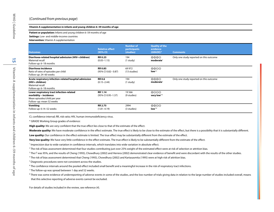## (*Continued from previous page*)

#### **Vitamin A supplementation in infants and young children 6–59 months of age**

**Patient or population:** Infants and young children 6–59 months of age

**Settings:** Low- and middle-income countries

**Intervention:** Vitamin A supplementation

| Outcomes                                                                                                                       | <b>Relative effect</b><br>(95% CI)     | <b>Number of</b><br>participants<br>(studies) | <b>Quality of the</b><br>evidence<br>$(GRADE)*$         | <b>Comments</b>                         |
|--------------------------------------------------------------------------------------------------------------------------------|----------------------------------------|-----------------------------------------------|---------------------------------------------------------|-----------------------------------------|
| Diarrhoea-related hospital admission (HIV+ children)<br>Maternal recall<br>Follow-up: 6-18 months                              | <b>RR 0.25</b><br>$(0.05 - 1.15)$      | 194<br>$(1$ study $)$                         | $\oplus \oplus \oplus \ominus$<br>moderate <sup>1</sup> | Only one study reported on this outcome |
| Diarrhoea incidence<br>Ratio of rates of episodes per child<br>Follow-up: 24-60 weeks                                          | <b>RR 0.85</b><br>(95% CI 0.82 - 0.87) | 69 972<br>(13 studies)                        | $\oplus \oplus \ominus \ominus$<br>low <sup>2,3</sup>   |                                         |
| Acute respiratory infection-related hospital admission<br>(HIV+ children)<br>Maternal recall<br>Follow-up: 6-18 months         | <b>RR 0.6</b><br>$(0.15 - 2.44)$       | 194<br>$(1$ study $)$                         | $\oplus \oplus \oplus \ominus$<br>moderate <sup>1</sup> | Only one study reported on this outcome |
| Lower respiratory tract infection-related<br>morbidity - incidence<br>Mean episodes/child per year<br>Follow-up: mean 52 weeks | <b>RR 1.14</b><br>(95% CI 0.95-1.37)   | 19 5 66<br>(9 studies)                        | $\oplus$ $\ominus$ $\ominus$<br>very low <sup>4-6</sup> |                                         |
| Vomiting<br>Follow-up: 0.14-52 weeks                                                                                           | <b>RR 2.75</b><br>$(1.81 - 4.19)$      | 2994<br>(3 studies)                           | $\oplus \oplus \ominus$<br>low <sup>7,8</sup>           |                                         |

CI, confidence interval; RR, risk ratio; HIV, human immunodeficiency virus.

\* GRADE Working Group grades of evidence:

**High quality:** We are very confident that the true effect lies close to that of the estimate of the effect.

Moderate quality: We have moderate confidence in the effect estimate. The true effect is likely to be close to the estimate of the effect, but there is a possibility that it is substantially different.

**Low quality:** Our confidence in the effect estimate is limited. The true effect may be substantially different from the estimate of the effect.

**Very low quality:** We have very little confidence in the effect estimate. The true effect is likely to be substantially different from the estimate of the effect.

<sup>1</sup> Imprecision due to wide variation in confidence intervals, which translates into wide variation in absolute effect.

<sup>2</sup> The risk of bias assessment determined that four studies contributing just over 25% weight of the estimated effect were at risk of selection or attrition bias.

 $3$  The I<sup>2</sup> was 95%, and the results of Cheng (1993), Chowdhury (2002) and Herrera (2002) demonstrated clear evidence of benefit and were discordant with the results of the other studies.

<sup>4</sup> The risk of bias assessment determined that Cheng (1993), Chowdhury (2002) and Kartasasmita (1995) were at high risk of attrition bias.

<sup>5</sup> Diagnostic procedures were not consistent across the studies.

<sup>6</sup> The confidence intervals around the pooled effect included small benefit and a meaningful increase in the risk of respiratory tract infections.

 $7$  The follow-up was spread between 1 day and 52 weeks.

<sup>8</sup> There was some evidence of underreporting of adverse events in some of the studies, and the low number of trials giving data in relation to the large number of studies included overall, means that this selective reporting of adverse events cannot be excluded.

For details of studies included in the review, see reference (*4*).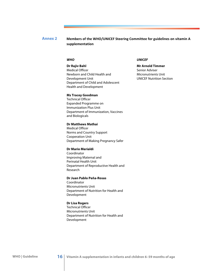#### <span id="page-19-0"></span>Members of the WHO/UNICEF Steering Committee for guidelines on vitamin A **supplementation Annex 2**

## *WHO*

**Dr Rajiv Bahl** Medical Officer Newborn and Child Health and Development Unit Department of Child and Adolescent Health and Development

## **Ms Tracey Goodman**

Technical Officer Expanded Programme on Immunization Plus Unit Department of Immunization, Vaccines and Biologicals

#### **Dr Matthews Mathai**

Medical Officer Norms and Country Support Cooperation Unit Department of Making Pregnancy Safer

#### **Dr Mario Merialdi**

Coordinator Improving Maternal and Perinatal Health Unit Department of Reproductive Health and Research

#### **Dr Juan Pablo Peña-Rosas**

Coordinator Micronutrients Unit Department of Nutrition for Health and Development

#### **Dr Lisa Rogers**

Technical Officer Micronutrients Unit Department of Nutrition for Health and Development

### *UNICEF*

**Mr Arnold Timmer** Senior Adviser Micronutrients Unit UNICEF Nutrition Section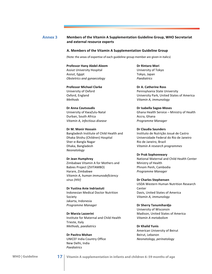## <span id="page-20-0"></span>**Annex 3 Members'of'the'Vitamin'A'Supplementation'Guideline'Group,'WHO'Secretariat'** and external resource experts

#### **A.'Members'of'the'Vitamin'A'Supplementation'Guideline'Group**

(Note: the areas of expertise of each guideline group member are given in italics)

#### **Professor Hany Abdel-Aleem**

**Assiut University Hospital** Assiut, Egypt *Obstetrics)and)gynaecology*

## **Professor Michael Clarke** University of Oxford Oxford, England *Methods*

**Dr'Anna'Coutsoudis** University of KwaZulu-Natal Durban, South Africa *Vitamin)A,)infectious)disease*

## **Dr M. Monir Hossain** Bangladesh Institute of Child Health and Dhaka Shishu (Children) Hospital Sher-e-Bangla Nagar Dhaka, Bangladesh *Neonatology*

## **Dr'Jean'Humphrey** Zimbabwe Vitamin A for Mothers and Babies Project (ZVITAMBO) Harare, Zimbabwe *Vitamin)A,)human)immunodeficiency) virus)(HIV)*

## **Dr'Yustina'Anie'Indriastuti** Indonesian Medical Doctor Nutrition Society Jakarta, Indonesia **Programme Manager**

## **Dr'Marzia'Lazzerini** Institute for Maternal and Child Health Trieste, Italy *Methods,)paediatrics*

## **Dr'Pavitra'Mohan** UNICEF India Country Office New Delhi, India *Paediatrics*

**Dr'Rintaro'Mori** University of Tokyo Tokyo, Japan *Paediatrics*

Dr A. Catherine Ross Pennsylvania State University University Park, United States of America *Vitamin)A,)immunology*

**Dr Isabella Sagoe-Moses** Ghana Health Service - Ministry of Health Accra, Ghana *Programme)Manager*

#### **Dr'Claudia'Saunders**

Instituto de Nutrição Josué de Castro Universidade Federal do Rio de Janeiro Rio de Janeiro, Brazil *Vitamin)A)research)programmes*

## **Dr'Prak'Sophonneary**

National Maternal and Child Health Center Ministry of Health Phnom Penh, Cambodia *Programme)Manager*

#### **Dr Charles Stephensen**

USDA Western Human Nutrition Research **Center** Davis, United States of America *Vitamin)A,)immunology*

### **Dr'Sherry'Tanumihardjo**

University of Wisconsin Madison, United States of America *Vitamin)A)metabolism*

#### **Dr'Khalid'Yunis**

American University of Beirut Beirut, Lebanon *Neonatology,)perinatology*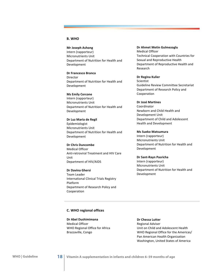## **B.'WHO**

**Mr'Joseph'Ashong** Intern (rapporteur) Micronutrients Unit Department of Nutrition for Health and Development

**Dr'Francesco'Branca** Director Department of Nutrition for Health and Development

**Ms'Emily Cercone' '** Intern (rapporteur) Micronutrients Unit Department of Nutrition for Health and Development

**Dr'Luz'Maria'de'Regil** Epidemiologist Micronutrients Unit Department of Nutrition for Health and Development

**Dr'Chris'Duncombe** Medical Officer Anti-retroviral Treatment and HIV Care Unit Department of HIV/AIDS

**Dr'Davina'Ghersi Team Leader** International Clinical Trials Registry Platform Department of Research Policy and

**Dr Ahmet Metin Gulmezoglu** Medical Officer Technical Cooperation with Countries for Sexual and Reproductive Health Department of Reproductive Health and **Research** 

**Dr Regina Kulier Scientist** Guideline Review Committee Secretariat Department of Research Policy and Cooperation

**Dr'José'Martines'** Coordinator Newborn and Child Health and Development Unit Department of Child and Adolescent Health and Development

**Ms'Sueko'Matsumura** Intern (rapporteur) Micronutrients Unit Department of Nutrition for Health and Development

**Dr Sant-Rayn Pasricha** Intern (rapporteur) Micronutrients Unit Department of Nutrition for Health and Development

### **C.'WHO'regional'offices''**

Cooperation

**Dr'Abel'Dushimimana** Medical Officer WHO Regional Office for Africa Brazzaville, Congo

**Dr'Chessa'Lutter** Regional Adviser Unit on Child and Adolescent Health WHO Regional Office for the Americas/ Pan American Health Organization Washington, United States of America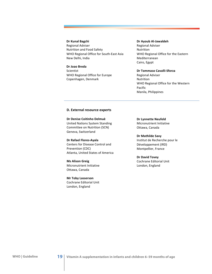## **Dr'Kunal'Bagchi** Regional Adviser Nutrition and Food Safety WHO Regional Office for South-East Asia New Delhi, India

**Dr'Joao'Breda** Scientist WHO Regional Office for Europe Copenhagen, Denmark

#### **Dr Ayoub Al-Jawaldeh**

Regional Adviser Nutrition WHO Regional Office for the Eastern Mediterranean Cairo, Egypt

## **Dr Tommaso Cavalli-Sforza**

Regional Adviser Nutrition WHO Regional Office for the Western Pacific Manila, Philippines

### **D. External resource experts**

**Dr'Denise'Coitinho'Delmuè** United Nations System Standing Committee on Nutrition (SCN) Geneva, Switzerland

**Dr Rafael Flores-Ayala** Centers for Disease Control and Prevention (CDC) Atlanta, United States of America

**Ms'Alison'Greig** Micronutrient Initiative Ottawa, Canada

**Mr'Toby'Lasserson** Cochrane Editorial Unit London, England

**Dr Lynnette Neufeld** Micronutrient Initiative Ottawa, Canada

#### **Dr'Mathilde'Savy**

Institut de Recherche pour le Développement (IRD) Montpellier, France

#### **Dr'David'Tovey**

Cochrane Editorial Unit London, England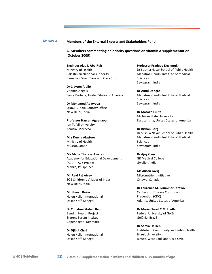## <span id="page-23-0"></span>**Annex 4 Members of the External Experts and Stakeholders Panel**

**A.'Members'commenting'on'priority'questions'on'vitamin'A'supplementation' (October'2009)**

**Engineer Alaa I. Abu Rub** Ministry of Health Palestinian National Authority Ramallah, West Bank and Gaza Strip

**Dr'Clayton'Ajello** Vitamin Angels Santa Barbara, United States of America

**Dr'Mohamed'Ag'Ayoya** UNICEF, India Country Office New Delhi, India

**Professor'Hassan'Aguenaou** Ibn Tofail University Kénitra, Morocco

**Mrs'Deena'Alasfoor** Ministry of Health Muscat, Oman

**Ms Maria Theresa Alvarez** Academy for Educational Development (AED) - A2Z Project Manila, Philippines

**Mr'Ravi'Raj'Atrey** SOS Children's Villages of India New Delhi, India

**Mr'Shawn Baker** Helen Keller International Dakar-Yoff, Senegal

**Dr Christine Stabell Benn** Bandim Health Project Statens Serum Institut Copenhagen, Denmark

**Dr'Djibril'Cissé** Helen Keller International Dakar-Yoff, Senegal

**Professor'Pradeep'Deshmukh** Dr Sushila Nayar School of Public Health Mahatma Gandhi Institute of Medical Sciences Sewagram, India

**Dr'Amol'Dongre** Mahatma Gandhi Institute of Medical Sciences Sewagram, India

**Dr'Masako'Fujita** Michigan State University East Lansing, United States of America

**Dr'Bishan Garg** Dr Sushila Nayar School of Public Health Mahatma Gandhi Institute of Medical Sciences Sewagram, India

**Dr'Ajay'Gaur GR** Medical College Gwalior, India

**Ms'Alison'Greig** Micronutrient Initiative Ottawa, Canada

**Dr Laurence M. Grummer-Strawn** Centers for Disease Control and Prevention (CDC) Atlanta, United States of America

**Dr Maria Claret C.M. Hadler** Federal University of Goiás Goiânia, Brazil

**Dr'Samia'Halileh** Institute of Community and Public Health **Birzeit University** Birzeit, West Bank and Gaza Strip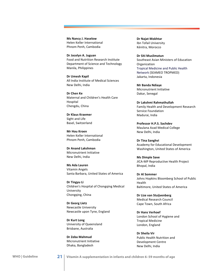**Ms'Nancy'J.'Haselow** Helen Keller International Phnom Penh, Cambodia

**Dr'Jocelyn'A.'Juguan** Food and Nutrition Research Institute Department of Science and Technology Manila, Philippines

**Dr'Umesh'Kapil** All India Institute of Medical Sciences New Delhi, India

**Dr'Chen'Ke** Maternal and Children's Health Care Hospital Chengdu, China

**Dr'Klaus'Kraemer** Sight and Life Basel, Switzerland

**Mr'Hou'Kroen** Helen Keller International Phnom Penh, Cambodia

**Dr'Anand'Lakshman** Micronutrient Initiative New Delhi, India

**Ms'Ada'Lauren** Vitamin Angels Santa Barbara, United States of America

**Dr'Tingyu Li** Children's Hospital of Chongqing Medical University Chongqing, China

**Dr'Georg'Lietz** Newcastle University Newcastle upon Tyne, England

**Dr'Kurt'Long** University of Queensland Brisbane, Australia

**Dr'Zeba'Mahmud** Micronutrient Initiative Dhaka, Bangladesh

**Dr'Najat'Mokhtar** Ibn Tofail University Kénitra, Morocco

**Dr'Siti'Muslimatun** Southeast Asian Ministers of Education **Organization** Tropical Medicine and Public Health Network (SEAMEO TROPMED) Jakarta, Indonesia

**Mr'Banda'Ndiaye** Micronutrient Initiative Dakar, Senegal

**Dr'Lakshmi'Rahmathullah** Family Health and Development Research Service Foundation Madurai, India

Professor H.P.S. Sachdev Maulana Azad Medical College New Delhi, India

**Dr'Tina'Sanghvi'** Academy for Educational Development Washington, United States of America

**Ms'Dimple'Save** JICA-MP Reproductive Health Project Bhopal, India

**Dr'Al'Sommer** Johns Hopkins Bloomberg School of Public **Health** Baltimore, United States of America

**Dr'Lize'van'Stuijvenberg** Medical Research Council Cape Town, South Africa

**Dr'Hans'Verhoef** London School of Hygiene and Tropical Medicine London, England

**Dr'Sheila'Vir** Public Health Nutrition and Development Centre New Delhi, India

**WHO | Guideline 21 Vitamin A supplementation in infants and children 6–59 months of age**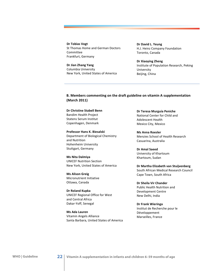**Dr'Tobias'Vogt** St Thomas Home and German Doctors Committee Frankfurt, Germany

**Dr'Jian'Zhang'Yang** Columbia University New York, United States of America **Dr'David'L.'Yeung** H.J. Heinz Company Foundation Toronto, Canada

**Dr'Xiaoying'Zheng** Institute of Population Research, Peking University Beijing, China

**B.'Members'commenting'on'the'draft'guideline'on'vitamin'A'supplementation' (March'2011)**

**Dr Christine Stabell Benn** Bandim Health Project Statens Serum Institut Copenhagen, Denmark

Professor Hans K. Biesalski Department of Biological Chemistry and Nutrition Hohenheim University Stuttgart, Germany

**Ms'Nita'Dalmiya** UNICEF Nutrition Section New York, United States of America

**Ms'Alison'Greig** Micronutrient Initiative Ottawa, Canada

**Dr'Roland'Kupka** UNICEF Regional Office for West and Central Africa Dakar-Yoff, Senegal

**Ms'Ada'Lauren** Vitamin Angels Alliance Santa Barbara, United States of America

**Dr'Teresa'Murguía'Peniche** National Center for Child and Adolescent Health Mexico City, Mexico

**Ms'Anna'Roesler** Menzies School of Health Research Casuarina, Australia

**Dr'Amal'Saeed** University of Khartoum Khartoum, Sudan

**Dr'Martha'Elizabeth'van'Stuijvenberg** South African Medical Research Council Cape Town, South Africa

**Dr'Sheila'Vir'Chander** Public Health Nutrition and Development Centre New Delhi, India

**Dr'Frank'Wieringa'** Institut de Recherche pour le Développement Marseilles, France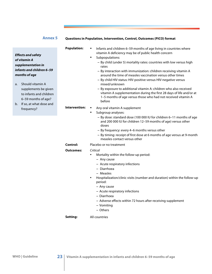# **Annex 5**

<span id="page-26-0"></span>

|    |                           | <b>Population:</b> | Infants and children 6-59 months of age living in countries where<br>$\bullet$<br>vitamin A deficiency may be of public health concern         |
|----|---------------------------|--------------------|------------------------------------------------------------------------------------------------------------------------------------------------|
|    | <b>Effects and safety</b> |                    | Subpopulations:<br>$\bullet$                                                                                                                   |
|    | of vitamin A              |                    | - By child (under 5) mortality rates: countries with low versus high                                                                           |
|    | supplementation in        |                    | rates                                                                                                                                          |
|    | infants and children 6–59 |                    | - By interaction with immunization: children receiving vitamin A                                                                               |
|    | months of age             |                    | around the time of measles vaccination versus other times                                                                                      |
| a. | Should vitamin A          |                    | - By child HIV status: HIV-positive versus HIV-negative versus<br>mixed/unknown                                                                |
|    | supplements be given      |                    | - By exposure to additional vitamin A: children who also received                                                                              |
|    | to infants and children   |                    | vitamin A supplementation during the first 28 days of life and/or at                                                                           |
|    | 6-59 months of age?       |                    | 1-5 months of age versus those who had not received vitamin A                                                                                  |
| b. | If so, at what dose and   |                    | before                                                                                                                                         |
|    | frequency?                | Intervention:      | Any oral vitamin A supplement                                                                                                                  |
|    |                           |                    | Subgroup analyses:<br>$\bullet$                                                                                                                |
|    |                           |                    | - By dose: standard dose (100 000 IU for children 6-11 months of age<br>and 200 000 IU for children 12-59 months of age) versus other<br>doses |
|    |                           |                    | - By frequency: every 4-6 months versus other                                                                                                  |
|    |                           |                    | - By timing: receipt of first dose at 6 months of age versus at 9-month<br>measles contact versus other                                        |
|    |                           | <b>Control:</b>    | Placebo or no treatment                                                                                                                        |
|    |                           | <b>Outcomes:</b>   | Critical                                                                                                                                       |
|    |                           |                    | Mortality within the follow-up period:<br>$\bullet$                                                                                            |
|    |                           |                    | - Any cause                                                                                                                                    |
|    |                           |                    | - Acute respiratory infections                                                                                                                 |
|    |                           |                    | - Diarrhoea                                                                                                                                    |
|    |                           |                    | - Measles                                                                                                                                      |
|    |                           |                    | Hospitalization/clinic visits (number and duration) within the follow-up<br>period:                                                            |
|    |                           |                    | - Any cause                                                                                                                                    |
|    |                           |                    | - Acute respiratory infections                                                                                                                 |
|    |                           |                    | - Diarrhoea                                                                                                                                    |
|    |                           |                    | - Adverse effects within 72 hours after receiving supplement                                                                                   |
|    |                           |                    | - Vomiting                                                                                                                                     |
|    |                           |                    |                                                                                                                                                |

− Others

#### **Setting:** All countries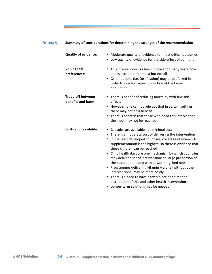<span id="page-27-0"></span>

| <b>Annex 6</b> | Summary of considerations for determining the strength of the recommendation |                                                                                                                                                                                                                                                                                                                                                                                                                                                                                                                                                                                                                                                                                                                     |  |  |  |  |
|----------------|------------------------------------------------------------------------------|---------------------------------------------------------------------------------------------------------------------------------------------------------------------------------------------------------------------------------------------------------------------------------------------------------------------------------------------------------------------------------------------------------------------------------------------------------------------------------------------------------------------------------------------------------------------------------------------------------------------------------------------------------------------------------------------------------------------|--|--|--|--|
|                | <b>Quality of evidence:</b>                                                  | • Moderate quality of evidence for most critical outcomes<br>• Low quality of evidence for the side-effect of vomiting                                                                                                                                                                                                                                                                                                                                                                                                                                                                                                                                                                                              |  |  |  |  |
|                | <b>Values and</b><br>preferences:                                            | • This intervention has been in place for many years now<br>and is acceptable to most but not all<br>• Other options (i.e. fortification) may be preferred in<br>order to reach a larger proportion of the target<br>population                                                                                                                                                                                                                                                                                                                                                                                                                                                                                     |  |  |  |  |
|                | <b>Trade-off between</b><br>benefits and harm:                               | • There is benefit of reducing mortality with few side-<br>effects<br>• However, one cannot rule out that in certain settings<br>there may not be a benefit<br>• There is concern that those who need this intervention<br>the most may not be reached                                                                                                                                                                                                                                                                                                                                                                                                                                                              |  |  |  |  |
|                | <b>Costs and feasibility:</b>                                                | • Capsules are available at a minimal cost<br>• There is a moderate cost of delivering the intervention<br>• In the least developed countries, coverage of vitamin A<br>supplementation is the highest, so there is evidence that<br>these children can be reached<br>• Child health days are one mechanism by which countries<br>may deliver a set of interventions to large proportion of<br>the population (along with deworming, bed nets)<br>• Programmes delivering vitamin A alone (without other<br>interventions) may be more costly<br>• There is a need to have a fixed place and time for<br>distribution of this and other health interventions<br>$\blacksquare$ Longer term colutions may be needed. |  |  |  |  |

• Longer-term solutions may be needed